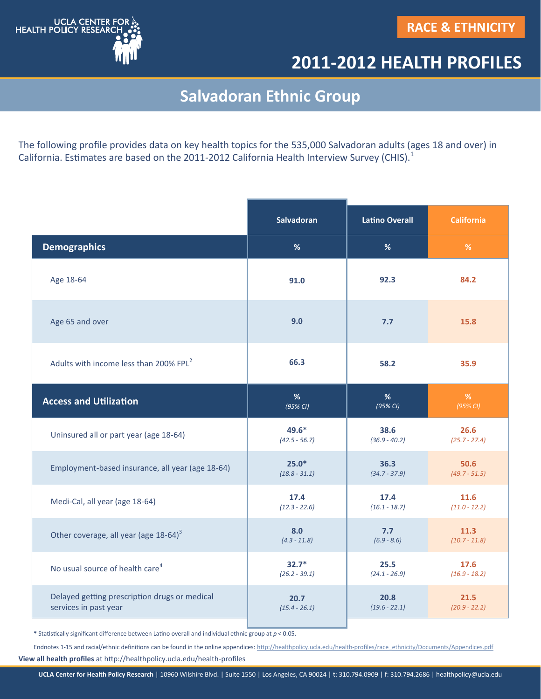

## **2011-2012 HEALTH PROFILES**

## **Salvadoran Ethnic Group**

The following profile provides data on key health topics for the 535,000 Salvadoran adults (ages 18 and over) in California. Estimates are based on the 2011-2012 California Health Interview Survey (CHIS).<sup>1</sup>

|                                                    | <b>Salvadoran</b> | <b>Latino Overall</b> | <b>California</b> |
|----------------------------------------------------|-------------------|-----------------------|-------------------|
| <b>Demographics</b>                                | %                 | %                     | %                 |
| Age 18-64                                          | 91.0              | 92.3                  | 84.2              |
| Age 65 and over                                    | 9.0               | 7.7                   | 15.8              |
| Adults with income less than 200% FPL <sup>2</sup> | 66.3              | 58.2                  | 35.9              |
| <b>Access and Utilization</b>                      | %                 | %                     | %                 |
|                                                    | (95% CI)          | $(95\%$ CI)           | (95% CI)          |
| Uninsured all or part year (age 18-64)             | 49.6*             | 38.6                  | 26.6              |
|                                                    | $(42.5 - 56.7)$   | $(36.9 - 40.2)$       | $(25.7 - 27.4)$   |
| Employment-based insurance, all year (age 18-64)   | $25.0*$           | 36.3                  | 50.6              |
|                                                    | $(18.8 - 31.1)$   | $(34.7 - 37.9)$       | $(49.7 - 51.5)$   |
| Medi-Cal, all year (age 18-64)                     | 17.4              | 17.4                  | 11.6              |
|                                                    | $(12.3 - 22.6)$   | $(16.1 - 18.7)$       | $(11.0 - 12.2)$   |
| Other coverage, all year (age 18-64) <sup>3</sup>  | 8.0               | 7.7                   | 11.3              |
|                                                    | $(4.3 - 11.8)$    | $(6.9 - 8.6)$         | $(10.7 - 11.8)$   |
| No usual source of health care <sup>4</sup>        | $32.7*$           | 25.5                  | 17.6              |
|                                                    | $(26.2 - 39.1)$   | $(24.1 - 26.9)$       | $(16.9 - 18.2)$   |
| Delayed getting prescription drugs or medical      | 20.7              | 20.8                  | 21.5              |
| services in past year                              | $(15.4 - 26.1)$   | $(19.6 - 22.1)$       | $(20.9 - 22.2)$   |

**\*** Statistically significant difference between Latino overall and individual ethnic group at *p* < 0.05.

**View all health profiles** at http://healthpolicy.ucla.edu/health-profiles Endnotes 1-15 and racial/ethnic definitions can be found in the online appendices: http://healthpolicy.ucla.edu/health-[profiles/race\\_ethnicity/Documents/Appendices.pdf](http://healthpolicy.ucla.edu/health-profiles/race_ethnicity/Documents/Appendices.pdf)